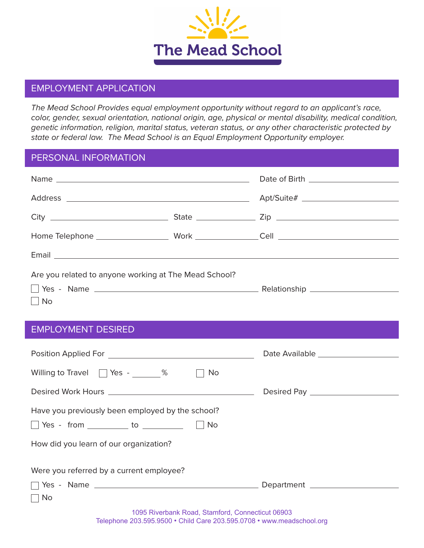

### EMPLOYMENT APPLICATION

*The Mead School Provides equal employment opportunity without regard to an applicant's race, color, gender, sexual orientation, national origin, age, physical or mental disability, medical condition, genetic information, religion, marital status, veteran status, or any other characteristic protected by state or federal law. The Mead School is an Equal Employment Opportunity employer.*

### PERSONAL INFORMATION

| Are you related to anyone working at The Mead School? |  |
|-------------------------------------------------------|--|
|                                                       |  |
| $\Box$ No                                             |  |

### EMPLOYMENT DESIRED

| Willing to Travel $\Box$ Yes - %<br>No                                                                                                |  |
|---------------------------------------------------------------------------------------------------------------------------------------|--|
|                                                                                                                                       |  |
| Have you previously been employed by the school?                                                                                      |  |
| $\vert$ $\vert$ No<br>  Yes - from to to to the to the to the to the to the to the to the to the to the to the to the to the to the t |  |
| How did you learn of our organization?                                                                                                |  |
| Were you referred by a current employee?                                                                                              |  |
|                                                                                                                                       |  |
| $\Box$ No                                                                                                                             |  |
| 1095 Riverbank Road, Stamford, Connecticut 06903                                                                                      |  |

Telephone 203.595.9500 ● Child Care 203.595.0708 ● www.meadschool.org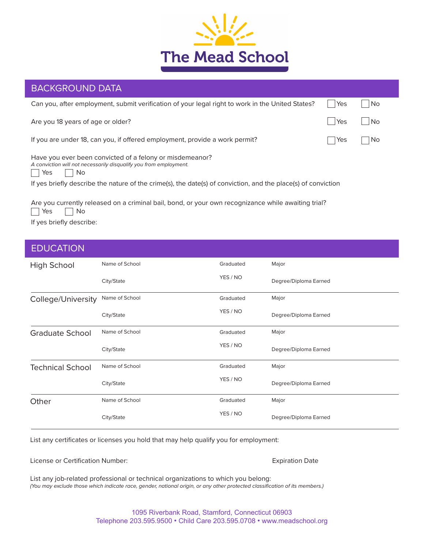

# BACKGROUND DATA

| Can you, after employment, submit verification of your legal right to work in the United States?                                             | Yes | <b>No</b> |
|----------------------------------------------------------------------------------------------------------------------------------------------|-----|-----------|
| Are you 18 years of age or older?                                                                                                            | Yes | <b>No</b> |
| If you are under 18, can you, if offered employment, provide a work permit?                                                                  | Yes | No        |
| Have you ever been convicted of a felony or misdemeanor?<br>A conviction will not necessarily disqualify you from employment.<br>  Yes<br>No |     |           |
| If yes briefly describe the nature of the crime(s), the date(s) of conviction, and the place(s) of conviction                                |     |           |
| Are you currently released on a criminal bail, bond, or your own recognizance while awaiting trial?<br>Yes<br>No                             |     |           |

If yes briefly describe:

### **EDUCATION**

| High School             | Name of School | Graduated | Major                 |
|-------------------------|----------------|-----------|-----------------------|
|                         | City/State     | YES / NO  | Degree/Diploma Earned |
| College/University      | Name of School | Graduated | Major                 |
|                         | City/State     | YES / NO  | Degree/Diploma Earned |
| <b>Graduate School</b>  | Name of School | Graduated | Major                 |
|                         | City/State     | YES / NO  | Degree/Diploma Earned |
| <b>Technical School</b> | Name of School | Graduated | Major                 |
|                         | City/State     | YES / NO  | Degree/Diploma Earned |
| Other                   | Name of School | Graduated | Major                 |
|                         | City/State     | YES / NO  | Degree/Diploma Earned |

List any certificates or licenses you hold that may help qualify you for employment:

License or Certification Number: Expiration Date

List any job-related professional or technical organizations to which you belong: *(You may exclude those which indicate race, gender, national origin, or any other protected classification of its members.)*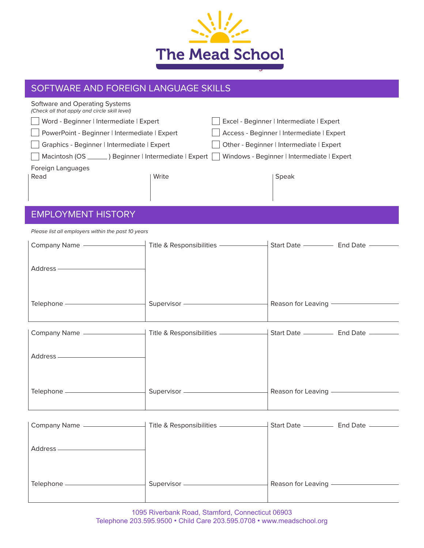

# SOFTWARE AND FOREIGN LANGUAGE SKILLS

| Software and Operating Systems<br>(Check all that apply and circle skill level) |       |                                            |
|---------------------------------------------------------------------------------|-------|--------------------------------------------|
| Word - Beginner   Intermediate   Expert                                         |       | Excel - Beginner   Intermediate   Expert   |
| PowerPoint - Beginner   Intermediate   Expert                                   |       | Access - Beginner   Intermediate   Expert  |
| Graphics - Beginner   Intermediate   Expert                                     |       | Other - Beginner   Intermediate   Expert   |
| Macintosh (OS _______) Beginner   Intermediate   Expert                         |       | Windows - Beginner   Intermediate   Expert |
| Foreign Languages<br>Read                                                       | Write | Speak                                      |

## EMPLOYMENT HISTORY

*Please list all employers within the past 10 years*

| <b>Company Name</b> | Title & Responsibilities | Start Date         | <b>End Date</b> |
|---------------------|--------------------------|--------------------|-----------------|
| Address -           |                          |                    |                 |
| Telephone           | Supervisor               | Reason for Leaving |                 |

| Company Name - | Title & Responsibilities - | Start Date -         | End Date — |
|----------------|----------------------------|----------------------|------------|
| Address -      |                            |                      |            |
| Telephone      | Supervisor —               | Reason for Leaving - |            |

| Company Name . | Title & Responsibilities | Start Date ________ | End Date - |
|----------------|--------------------------|---------------------|------------|
| Address -      |                          |                     |            |
| Telephone      | Supervisor               | Reason for Leaving  |            |